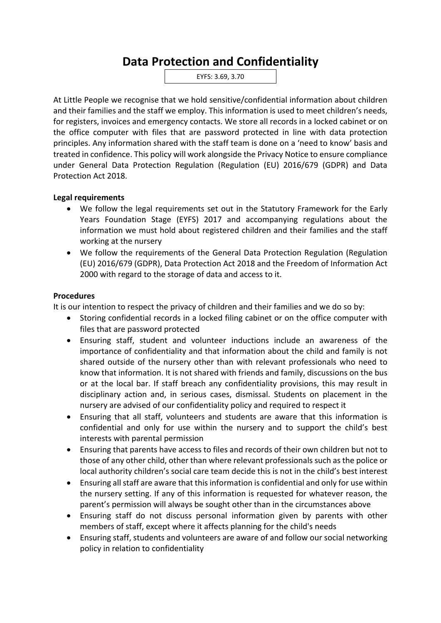## **Data Protection and Confidentiality**

EYFS: 3.69, 3.70

At Little People we recognise that we hold sensitive/confidential information about children and their families and the staff we employ. This information is used to meet children's needs, for registers, invoices and emergency contacts. We store all records in a locked cabinet or on the office computer with files that are password protected in line with data protection principles. Any information shared with the staff team is done on a 'need to know' basis and treated in confidence. This policy will work alongside the Privacy Notice to ensure compliance under General Data Protection Regulation (Regulation (EU) 2016/679 (GDPR) and Data Protection Act 2018.

## **Legal requirements**

- We follow the legal requirements set out in the Statutory Framework for the Early Years Foundation Stage (EYFS) 2017 and accompanying regulations about the information we must hold about registered children and their families and the staff working at the nursery
- We follow the requirements of the General Data Protection Regulation (Regulation (EU) 2016/679 (GDPR), Data Protection Act 2018 and the Freedom of Information Act 2000 with regard to the storage of data and access to it.

## **Procedures**

It is our intention to respect the privacy of children and their families and we do so by:

- Storing confidential records in a locked filing cabinet or on the office computer with files that are password protected
- Ensuring staff, student and volunteer inductions include an awareness of the importance of confidentiality and that information about the child and family is not shared outside of the nursery other than with relevant professionals who need to know that information. It is not shared with friends and family, discussions on the bus or at the local bar. If staff breach any confidentiality provisions, this may result in disciplinary action and, in serious cases, dismissal. Students on placement in the nursery are advised of our confidentiality policy and required to respect it
- Ensuring that all staff, volunteers and students are aware that this information is confidential and only for use within the nursery and to support the child's best interests with parental permission
- Ensuring that parents have access to files and records of their own children but not to those of any other child, other than where relevant professionals such as the police or local authority children's social care team decide this is not in the child's best interest
- Ensuring all staff are aware that this information is confidential and only for use within the nursery setting. If any of this information is requested for whatever reason, the parent's permission will always be sought other than in the circumstances above
- Ensuring staff do not discuss personal information given by parents with other members of staff, except where it affects planning for the child's needs
- Ensuring staff, students and volunteers are aware of and follow our social networking policy in relation to confidentiality